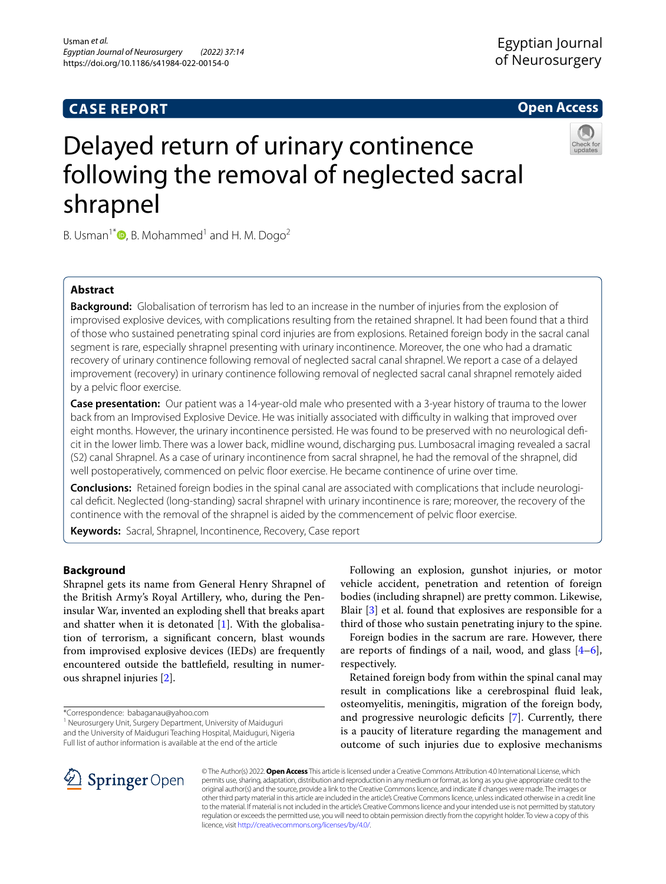# **CASE REPORT**

# **Open Access**



# Delayed return of urinary continence following the removal of neglected sacral shrapnel

B. Usman<sup>1[\\*](http://orcid.org/0000-0002-2728-6067)</sup> $\bullet$ , B. Mohammed<sup>1</sup> and H. M. Dogo<sup>2</sup>

# **Abstract**

**Background:** Globalisation of terrorism has led to an increase in the number of injuries from the explosion of improvised explosive devices, with complications resulting from the retained shrapnel. It had been found that a third of those who sustained penetrating spinal cord injuries are from explosions. Retained foreign body in the sacral canal segment is rare, especially shrapnel presenting with urinary incontinence. Moreover, the one who had a dramatic recovery of urinary continence following removal of neglected sacral canal shrapnel. We report a case of a delayed improvement (recovery) in urinary continence following removal of neglected sacral canal shrapnel remotely aided by a pelvic floor exercise.

**Case presentation:** Our patient was a 14-year-old male who presented with a 3-year history of trauma to the lower back from an Improvised Explosive Device. He was initially associated with difculty in walking that improved over eight months. However, the urinary incontinence persisted. He was found to be preserved with no neurological defcit in the lower limb. There was a lower back, midline wound, discharging pus. Lumbosacral imaging revealed a sacral (S2) canal Shrapnel. As a case of urinary incontinence from sacral shrapnel, he had the removal of the shrapnel, did well postoperatively, commenced on pelvic floor exercise. He became continence of urine over time.

**Conclusions:** Retained foreign bodies in the spinal canal are associated with complications that include neurological defcit. Neglected (long-standing) sacral shrapnel with urinary incontinence is rare; moreover, the recovery of the continence with the removal of the shrapnel is aided by the commencement of pelvic foor exercise.

**Keywords:** Sacral, Shrapnel, Incontinence, Recovery, Case report

# **Background**

Shrapnel gets its name from General Henry Shrapnel of the British Army's Royal Artillery, who, during the Peninsular War, invented an exploding shell that breaks apart and shatter when it is detonated [[1\]](#page-3-0). With the globalisation of terrorism, a signifcant concern, blast wounds from improvised explosive devices (IEDs) are frequently encountered outside the battlefeld, resulting in numerous shrapnel injuries [[2](#page-3-1)].

\*Correspondence: babaganau@yahoo.com

<sup>1</sup> Neurosurgery Unit, Surgery Department, University of Maiduguri and the University of Maiduguri Teaching Hospital, Maiduguri, Nigeria Full list of author information is available at the end of the article

Following an explosion, gunshot injuries, or motor vehicle accident, penetration and retention of foreign bodies (including shrapnel) are pretty common. Likewise, Blair [\[3](#page-3-2)] et al. found that explosives are responsible for a third of those who sustain penetrating injury to the spine.

Foreign bodies in the sacrum are rare. However, there are reports of findings of a nail, wood, and glass  $[4-6]$  $[4-6]$ , respectively.

Retained foreign body from within the spinal canal may result in complications like a cerebrospinal fuid leak, osteomyelitis, meningitis, migration of the foreign body, and progressive neurologic deficits [\[7](#page-3-5)]. Currently, there is a paucity of literature regarding the management and outcome of such injuries due to explosive mechanisms



© The Author(s) 2022. **Open Access** This article is licensed under a Creative Commons Attribution 4.0 International License, which permits use, sharing, adaptation, distribution and reproduction in any medium or format, as long as you give appropriate credit to the original author(s) and the source, provide a link to the Creative Commons licence, and indicate if changes were made. The images or other third party material in this article are included in the article's Creative Commons licence, unless indicated otherwise in a credit line to the material. If material is not included in the article's Creative Commons licence and your intended use is not permitted by statutory regulation or exceeds the permitted use, you will need to obtain permission directly from the copyright holder. To view a copy of this licence, visit [http://creativecommons.org/licenses/by/4.0/.](http://creativecommons.org/licenses/by/4.0/)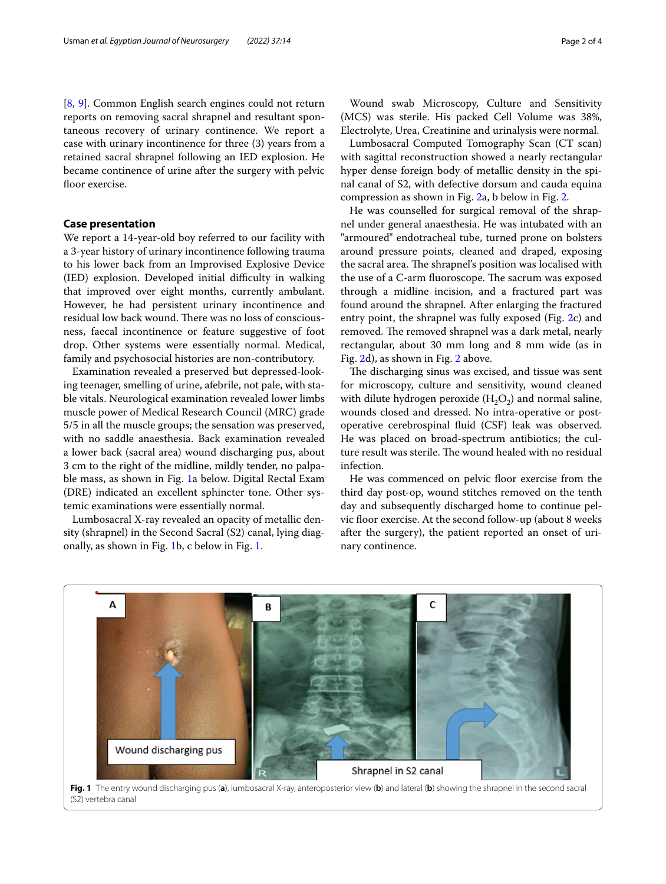[[8,](#page-3-6) [9\]](#page-3-7). Common English search engines could not return reports on removing sacral shrapnel and resultant spontaneous recovery of urinary continence. We report a case with urinary incontinence for three (3) years from a retained sacral shrapnel following an IED explosion. He became continence of urine after the surgery with pelvic floor exercise.

## **Case presentation**

We report a 14-year-old boy referred to our facility with a 3-year history of urinary incontinence following trauma to his lower back from an Improvised Explosive Device (IED) explosion. Developed initial difficulty in walking that improved over eight months, currently ambulant. However, he had persistent urinary incontinence and residual low back wound. There was no loss of consciousness, faecal incontinence or feature suggestive of foot drop. Other systems were essentially normal. Medical, family and psychosocial histories are non-contributory.

Examination revealed a preserved but depressed-looking teenager, smelling of urine, afebrile, not pale, with stable vitals. Neurological examination revealed lower limbs muscle power of Medical Research Council (MRC) grade 5/5 in all the muscle groups; the sensation was preserved, with no saddle anaesthesia. Back examination revealed a lower back (sacral area) wound discharging pus, about 3 cm to the right of the midline, mildly tender, no palpable mass, as shown in Fig. [1](#page-1-0)a below. Digital Rectal Exam (DRE) indicated an excellent sphincter tone. Other systemic examinations were essentially normal.

Lumbosacral X-ray revealed an opacity of metallic density (shrapnel) in the Second Sacral (S2) canal, lying diagonally, as shown in Fig. [1b](#page-1-0), c below in Fig. [1](#page-1-0).

Wound swab Microscopy, Culture and Sensitivity (MCS) was sterile. His packed Cell Volume was 38%, Electrolyte, Urea, Creatinine and urinalysis were normal.

Lumbosacral Computed Tomography Scan (CT scan) with sagittal reconstruction showed a nearly rectangular hyper dense foreign body of metallic density in the spinal canal of S2, with defective dorsum and cauda equina compression as shown in Fig. [2](#page-2-0)a, b below in Fig. [2.](#page-2-0)

He was counselled for surgical removal of the shrapnel under general anaesthesia. He was intubated with an "armoured" endotracheal tube, turned prone on bolsters around pressure points, cleaned and draped, exposing the sacral area. The shrapnel's position was localised with the use of a C-arm fluoroscope. The sacrum was exposed through a midline incision, and a fractured part was found around the shrapnel. After enlarging the fractured entry point, the shrapnel was fully exposed (Fig. [2c](#page-2-0)) and removed. The removed shrapnel was a dark metal, nearly rectangular, about 30 mm long and 8 mm wide (as in Fig. [2d](#page-2-0)), as shown in Fig. [2](#page-2-0) above.

The discharging sinus was excised, and tissue was sent for microscopy, culture and sensitivity, wound cleaned with dilute hydrogen peroxide  $(H_2O_2)$  and normal saline, wounds closed and dressed. No intra-operative or postoperative cerebrospinal fuid (CSF) leak was observed. He was placed on broad-spectrum antibiotics; the culture result was sterile. The wound healed with no residual infection.

He was commenced on pelvic floor exercise from the third day post-op, wound stitches removed on the tenth day and subsequently discharged home to continue pelvic floor exercise. At the second follow-up (about 8 weeks after the surgery), the patient reported an onset of urinary continence.

<span id="page-1-0"></span>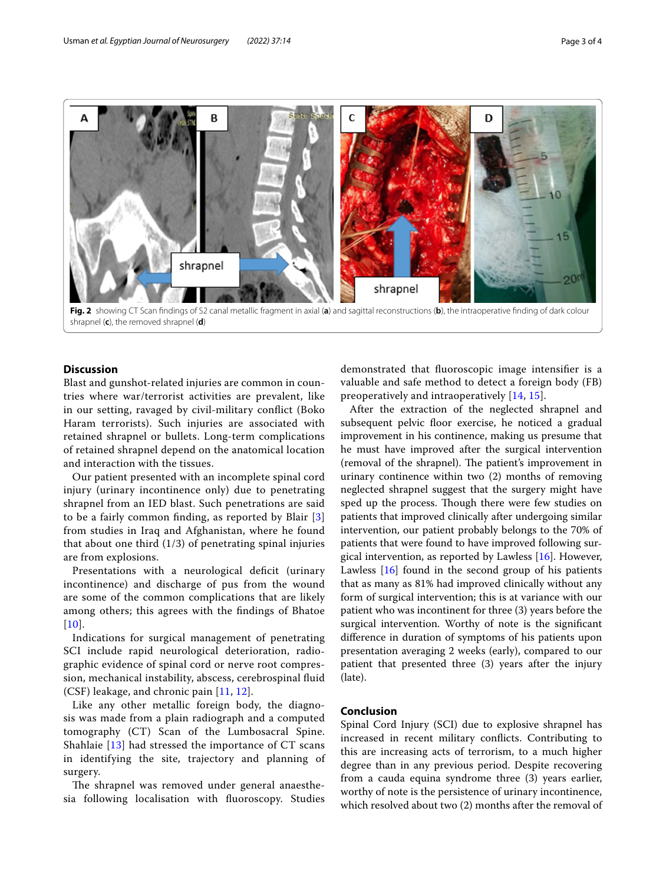

## <span id="page-2-0"></span>**Discussion**

Blast and gunshot-related injuries are common in countries where war/terrorist activities are prevalent, like in our setting, ravaged by civil-military confict (Boko Haram terrorists). Such injuries are associated with retained shrapnel or bullets. Long-term complications of retained shrapnel depend on the anatomical location and interaction with the tissues.

Our patient presented with an incomplete spinal cord injury (urinary incontinence only) due to penetrating shrapnel from an IED blast. Such penetrations are said to be a fairly common fnding, as reported by Blair [\[3](#page-3-2)] from studies in Iraq and Afghanistan, where he found that about one third  $(1/3)$  of penetrating spinal injuries are from explosions.

Presentations with a neurological deficit (urinary incontinence) and discharge of pus from the wound are some of the common complications that are likely among others; this agrees with the fndings of Bhatoe  $[10]$  $[10]$  $[10]$ .

Indications for surgical management of penetrating SCI include rapid neurological deterioration, radiographic evidence of spinal cord or nerve root compression, mechanical instability, abscess, cerebrospinal fuid (CSF) leakage, and chronic pain [[11](#page-3-9), [12](#page-3-10)].

Like any other metallic foreign body, the diagnosis was made from a plain radiograph and a computed tomography (CT) Scan of the Lumbosacral Spine. Shahlaie [[13\]](#page-3-11) had stressed the importance of CT scans in identifying the site, trajectory and planning of surgery.

The shrapnel was removed under general anaesthesia following localisation with fuoroscopy. Studies demonstrated that fuoroscopic image intensifer is a valuable and safe method to detect a foreign body (FB) preoperatively and intraoperatively [[14](#page-3-12), [15](#page-3-13)].

After the extraction of the neglected shrapnel and subsequent pelvic floor exercise, he noticed a gradual improvement in his continence, making us presume that he must have improved after the surgical intervention (removal of the shrapnel). The patient's improvement in urinary continence within two (2) months of removing neglected shrapnel suggest that the surgery might have sped up the process. Though there were few studies on patients that improved clinically after undergoing similar intervention, our patient probably belongs to the 70% of patients that were found to have improved following surgical intervention, as reported by Lawless  $[16]$ . However, Lawless [[16](#page-3-14)] found in the second group of his patients that as many as 81% had improved clinically without any form of surgical intervention; this is at variance with our patient who was incontinent for three (3) years before the surgical intervention. Worthy of note is the signifcant diference in duration of symptoms of his patients upon presentation averaging 2 weeks (early), compared to our patient that presented three (3) years after the injury (late).

## **Conclusion**

Spinal Cord Injury (SCI) due to explosive shrapnel has increased in recent military conficts. Contributing to this are increasing acts of terrorism, to a much higher degree than in any previous period. Despite recovering from a cauda equina syndrome three (3) years earlier, worthy of note is the persistence of urinary incontinence, which resolved about two (2) months after the removal of